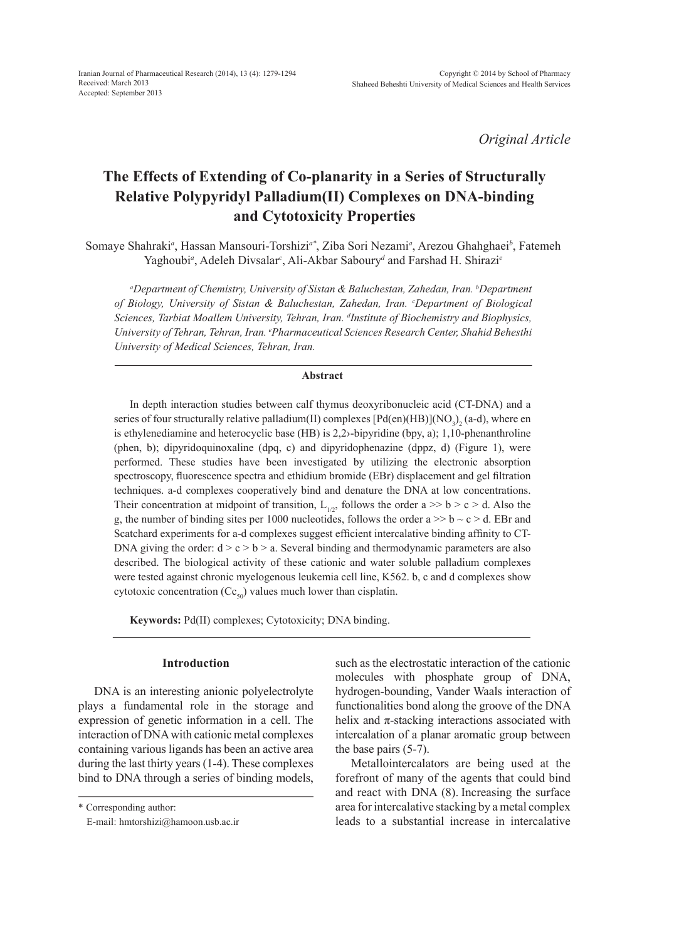*Original Article*

# **The Effects of Extending of Co-planarity in a Series of Structurally Relative Polypyridyl Palladium(II) Complexes on DNA-binding and Cytotoxicity Properties**

Somaye Shahraki*<sup>a</sup>* , Hassan Mansouri-Torshizi*a\**, Ziba Sori Nezami*<sup>a</sup>* , Arezou Ghahghaei*<sup>b</sup>* , Fatemeh Yaghoubi<sup>*a*</sup>, Adeleh Divsalar<sup>c</sup>, Ali-Akbar Saboury<sup>*d*</sup> and Farshad H. Shirazi<sup>*e*</sup>

*a Department of Chemistry, University of Sistan & Baluchestan, Zahedan, Iran. b Department of Biology, University of Sistan & Baluchestan, Zahedan, Iran. c Department of Biological Sciences, Tarbiat Moallem University, Tehran, Iran. d Institute of Biochemistry and Biophysics, University of Tehran, Tehran, Iran. e Pharmaceutical Sciences Research Center, Shahid Behesthi University of Medical Sciences, Tehran, Iran.*

#### **Abstract**

In depth interaction studies between calf thymus deoxyribonucleic acid (CT-DNA) and a series of four structurally relative palladium(II) complexes [Pd(en)(HB)](NO<sub>3</sub>)<sub>2</sub> (a-d), where en is ethylenediamine and heterocyclic base (HB) is 2,2›-bipyridine (bpy, a); 1,10-phenanthroline (phen, b); dipyridoquinoxaline (dpq, c) and dipyridophenazine (dppz, d) (Figure 1), were performed. These studies have been investigated by utilizing the electronic absorption spectroscopy, fluorescence spectra and ethidium bromide (EBr) displacement and gel filtration techniques. a-d complexes cooperatively bind and denature the DNA at low concentrations. Their concentration at midpoint of transition,  $L_{1/2}$ , follows the order a >> b > c > d. Also the g, the number of binding sites per 1000 nucleotides, follows the order  $a \gg b \sim c \ge d$ . EBr and Scatchard experiments for a-d complexes suggest efficient intercalative binding affinity to CT-DNA giving the order:  $d > c > b > a$ . Several binding and thermodynamic parameters are also described. The biological activity of these cationic and water soluble palladium complexes were tested against chronic myelogenous leukemia cell line, K562. b, c and d complexes show cytotoxic concentration  $(Cc_{50})$  values much lower than cisplatin.

**Keywords:** Pd(II) complexes; Cytotoxicity; DNA binding.

# **Introduction**

DNA is an interesting anionic polyelectrolyte plays a fundamental role in the storage and expression of genetic information in a cell. The interaction of DNA with cationic metal complexes containing various ligands has been an active area during the last thirty years (1-4). These complexes bind to DNA through a series of binding models,

\* Corresponding author:

E-mail: hmtorshizi@hamoon.usb.ac.ir

such as the electrostatic interaction of the cationic molecules with phosphate group of DNA, hydrogen-bounding, Vander Waals interaction of functionalities bond along the groove of the DNA helix and  $\pi$ -stacking interactions associated with intercalation of a planar aromatic group between the base pairs (5-7).

Metallointercalators are being used at the forefront of many of the agents that could bind and react with DNA (8). Increasing the surface area for intercalative stacking by a metal complex leads to a substantial increase in intercalative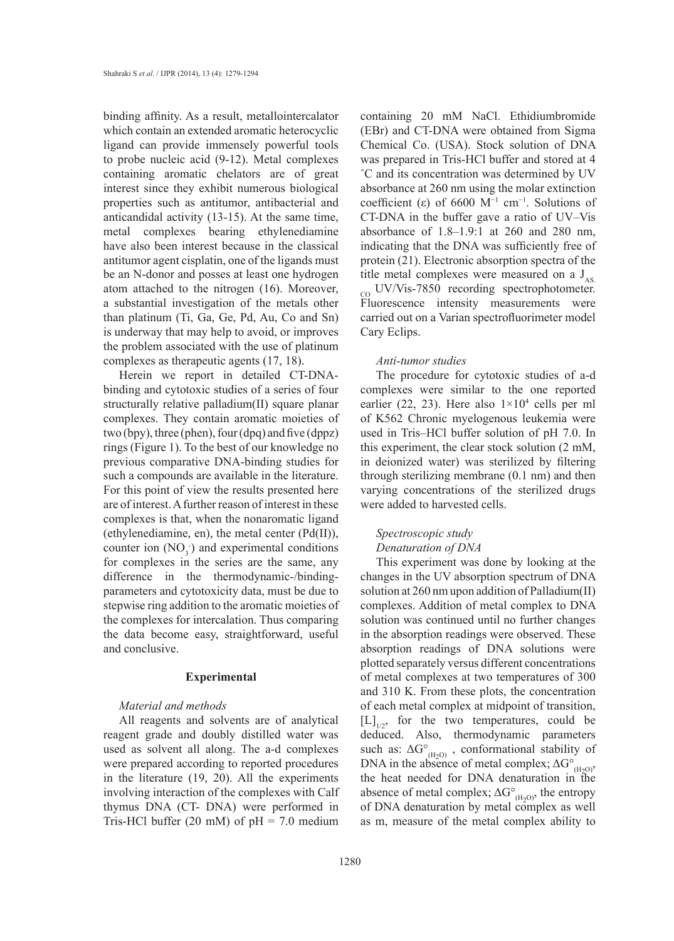binding affinity. As a result, metallointercalator which contain an extended aromatic heterocyclic ligand can provide immensely powerful tools to probe nucleic acid (9-12). Metal complexes containing aromatic chelators are of great interest since they exhibit numerous biological properties such as antitumor, antibacterial and anticandidal activity (13-15). At the same time, metal complexes bearing ethylenediamine have also been interest because in the classical antitumor agent cisplatin, one of the ligands must be an N-donor and posses at least one hydrogen atom attached to the nitrogen (16). Moreover, a substantial investigation of the metals other than platinum (Ti, Ga, Ge, Pd, Au, Co and Sn) is underway that may help to avoid, or improves the problem associated with the use of platinum complexes as therapeutic agents (17, 18).

Herein we report in detailed CT-DNAbinding and cytotoxic studies of a series of four structurally relative palladium(II) square planar complexes. They contain aromatic moieties of two (bpy), three (phen), four (dpq) and five (dppz) rings (Figure 1). To the best of our knowledge no previous comparative DNA-binding studies for such a compounds are available in the literature. For this point of view the results presented here are of interest. A further reason of interest in these complexes is that, when the nonaromatic ligand (ethylenediamine, en), the metal center (Pd(II)), counter ion  $(NO_3^-)$  and experimental conditions for complexes in the series are the same, any difference in the thermodynamic-/bindingparameters and cytotoxicity data, must be due to stepwise ring addition to the aromatic moieties of the complexes for intercalation. Thus comparing the data become easy, straightforward, useful and conclusive.

## **Experimental**

## *Material and methods*

All reagents and solvents are of analytical reagent grade and doubly distilled water was used as solvent all along. The a-d complexes were prepared according to reported procedures in the literature (19, 20). All the experiments involving interaction of the complexes with Calf thymus DNA (CT- DNA) were performed in Tris-HCl buffer (20 mM) of  $pH = 7.0$  medium

containing 20 mM NaCl. Ethidiumbromide (EBr) and CT-DNA were obtained from Sigma Chemical Co. (USA). Stock solution of DNA was prepared in Tris-HCl buffer and stored at 4 ˚C and its concentration was determined by UV absorbance at 260 nm using the molar extinction coefficient (ε) of 6600  $M^{-1}$  cm<sup>-1</sup>. Solutions of CT-DNA in the buffer gave a ratio of UV–Vis absorbance of 1.8–1.9:1 at 260 and 280 nm, indicating that the DNA was sufficiently free of protein (21). Electronic absorption spectra of the title metal complexes were measured on a  $J_{AS}$ co UV/Vis-7850 recording spectrophotometer. Fluorescence intensity measurements were carried out on a Varian spectrofluorimeter model Cary Eclips.

#### *Anti-tumor studies*

The procedure for cytotoxic studies of a-d complexes were similar to the one reported earlier (22, 23). Here also  $1\times10^4$  cells per ml of K562 Chronic myelogenous leukemia were used in Tris–HCl buffer solution of pH 7.0. In this experiment, the clear stock solution (2 mM, in deionized water) was sterilized by filtering through sterilizing membrane (0.1 nm) and then varying concentrations of the sterilized drugs were added to harvested cells.

## *Spectroscopic study Denaturation of DNA*

This experiment was done by looking at the changes in the UV absorption spectrum of DNA solution at 260 nm upon addition of Palladium(II) complexes. Addition of metal complex to DNA solution was continued until no further changes in the absorption readings were observed. These absorption readings of DNA solutions were plotted separately versus different concentrations of metal complexes at two temperatures of 300 and 310 K. From these plots, the concentration of each metal complex at midpoint of transition,  $[L]_{1/2}$ , for the two temperatures, could be deduced. Also, thermodynamic parameters such as:  $\Delta G^{\circ}_{(H_2O)}$ , conformational stability of DNA in the absence of metal complex;  $\Delta G^{\circ}_{\text{(H}_2O)}$ , the heat needed for DNA denaturation in the absence of metal complex;  $\Delta G^{\circ}_{(H_2O)}$ , the entropy of DNA denaturation by metal complex as well as m, measure of the metal complex ability to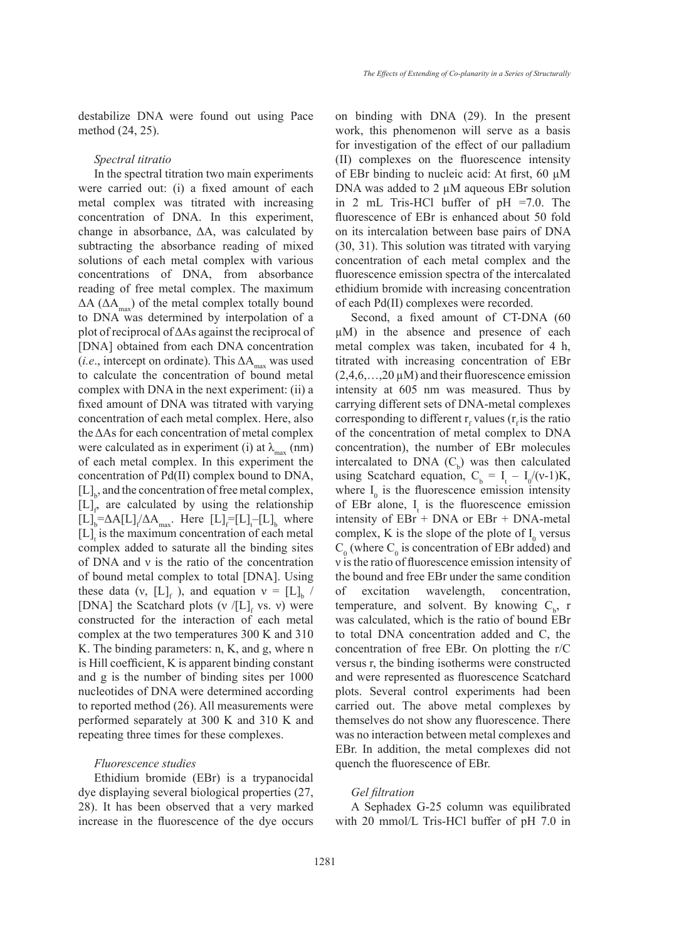destabilize DNA were found out using Pace method (24, 25).

*Spectral titratio* 

In the spectral titration two main experiments were carried out: (i) a fixed amount of each metal complex was titrated with increasing concentration of DNA. In this experiment, change in absorbance, ΔΑ, was calculated by subtracting the absorbance reading of mixed solutions of each metal complex with various concentrations of DNA, from absorbance reading of free metal complex. The maximum  $\Delta A$  ( $\Delta A_{\text{max}}$ ) of the metal complex totally bound to DNA was determined by interpolation of a plot of reciprocal of ΔΑs against the reciprocal of [DNA] obtained from each DNA concentration (*i.e.*, intercept on ordinate). This  $\Delta A_{\text{max}}$  was used to calculate the concentration of bound metal complex with DNA in the next experiment: (ii) a fixed amount of DNA was titrated with varying concentration of each metal complex. Here, also the ΔΑs for each concentration of metal complex were calculated as in experiment (i) at  $\lambda_{\text{max}}$  (nm) of each metal complex. In this experiment the concentration of Pd(II) complex bound to DNA,  $[L]_b$ , and the concentration of free metal complex,  $[L]_f$  are calculated by using the relationship  $[L]_b = \Delta A[L]_t / \Delta A_{\text{max}}$ . Here  $[L]_f = [L]_t - [L]_b$ , where  $[L]$ <sub>t</sub> is the maximum concentration of each metal complex added to saturate all the binding sites of DNA and ν is the ratio of the concentration of bound metal complex to total [DNA]. Using these data (v,  $[L]_f$ ), and equation  $v = [L]_b$  / [DNA] the Scatchard plots (v  $/[L]_f$  vs. v) were constructed for the interaction of each metal complex at the two temperatures 300 K and 310 K. The binding parameters: n, K, and g, where n is Hill coefficient, K is apparent binding constant and g is the number of binding sites per 1000 nucleotides of DNA were determined according to reported method (26). All measurements were performed separately at 300 K and 310 K and repeating three times for these complexes.

## *Fluorescence studies*

Ethidium bromide (EBr) is a trypanocidal dye displaying several biological properties (27, 28). It has been observed that a very marked increase in the fluorescence of the dye occurs on binding with DNA (29). In the present work, this phenomenon will serve as a basis for investigation of the effect of our palladium (II) complexes on the fluorescence intensity of EBr binding to nucleic acid: At first, 60 µM DNA was added to 2 µM aqueous EBr solution in 2 mL Tris-HCl buffer of pH =7.0. The fluorescence of EBr is enhanced about 50 fold on its intercalation between base pairs of DNA (30, 31). This solution was titrated with varying concentration of each metal complex and the fluorescence emission spectra of the intercalated ethidium bromide with increasing concentration of each Pd(II) complexes were recorded.

Second, a fixed amount of CT-DNA (60 µM) in the absence and presence of each metal complex was taken, incubated for 4 h, titrated with increasing concentration of EBr  $(2,4,6,\ldots,20 \,\mu M)$  and their fluorescence emission intensity at 605 nm was measured. Thus by carrying different sets of DNA-metal complexes corresponding to different  $r_f$  values ( $r_f$  is the ratio of the concentration of metal complex to DNA concentration), the number of EBr molecules intercalated to DNA  $(C_b)$  was then calculated using Scatchard equation,  $C_b = I_t - I_0/(v-1)K$ , where  $I_0$  is the fluorescence emission intensity of EBr alone,  $I_t$  is the fluorescence emission intensity of EBr + DNA or EBr + DNA-metal complex, K is the slope of the plote of  $I_0$  versus  $C_0$  (where  $C_0$  is concentration of EBr added) and ν is the ratio of fluorescence emission intensity of the bound and free EBr under the same condition of excitation wavelength, concentration, temperature, and solvent. By knowing  $C_b$ , r was calculated, which is the ratio of bound EBr to total DNA concentration added and C, the concentration of free EBr. On plotting the r/C versus r, the binding isotherms were constructed and were represented as fluorescence Scatchard plots. Several control experiments had been carried out. The above metal complexes by themselves do not show any fluorescence. There was no interaction between metal complexes and EBr. In addition, the metal complexes did not quench the fluorescence of EBr.

#### *Gel filtration*

A Sephadex G-25 column was equilibrated with 20 mmol/L Tris-HCl buffer of pH 7.0 in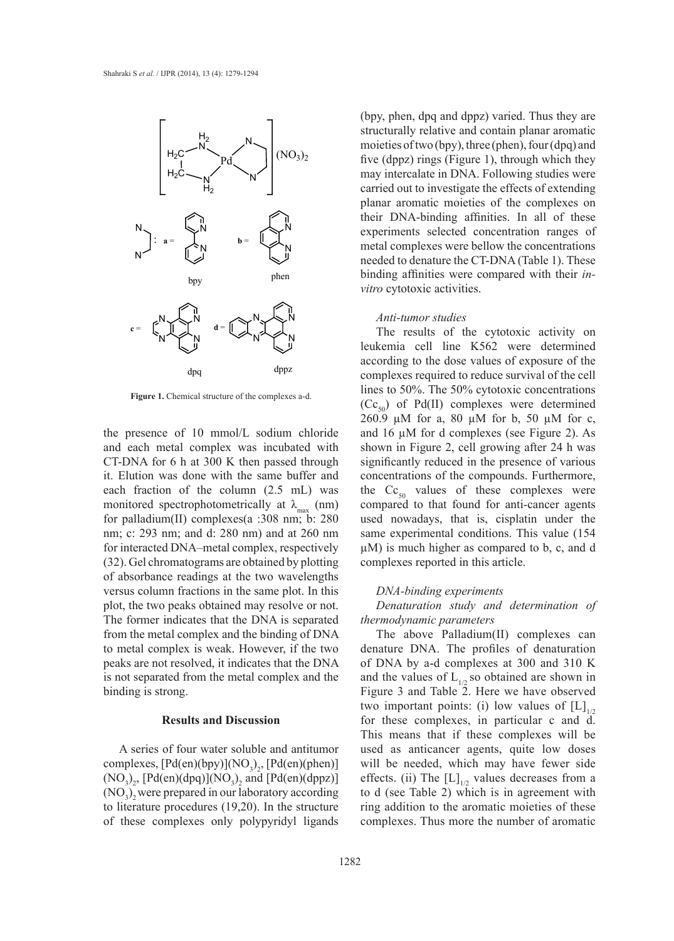

**Figure 1.** Chemical structure of the complexes a-d.

the presence of 10 mmol/L sodium chloride and each metal complex was incubated with CT-DNA for 6 h at 300 K then passed through it. Elution was done with the same buffer and each fraction of the column (2.5 mL) was monitored spectrophotometrically at  $\lambda_{\text{max}}$  (nm) for palladium(II) complexes(a :308 nm; b: 280 nm; c: 293 nm; and d: 280 nm) and at 260 nm for interacted DNA–metal complex, respectively (32). Gel chromatograms are obtained by plotting of absorbance readings at the two wavelengths versus column fractions in the same plot. In this plot, the two peaks obtained may resolve or not. The former indicates that the DNA is separated from the metal complex and the binding of DNA to metal complex is weak. However, if the two peaks are not resolved, it indicates that the DNA is not separated from the metal complex and the binding is strong.

#### **Results and Discussion**

A series of four water soluble and antitumor complexes,  $[Pd(en)(bpy)](NO<sub>3</sub>)<sub>2</sub>$ ,  $[Pd(en)(phen)]$  $(NO<sub>3</sub>)<sub>2</sub>$ ,  $[Pd(en)(dpq)](NO<sub>3</sub>)<sub>2</sub>$  and  $[Pd(en)(dppz)]$  $(NO<sub>3</sub>)<sub>2</sub>$  were prepared in our laboratory according to literature procedures (19,20). In the structure of these complexes only polypyridyl ligands

(bpy, phen, dpq and dppz) varied. Thus they are structurally relative and contain planar aromatic moieties of two (bpy), three (phen), four (dpq) and five (dppz) rings (Figure 1), through which they may intercalate in DNA. Following studies were carried out to investigate the effects of extending planar aromatic moieties of the complexes on their DNA-binding affinities. In all of these experiments selected concentration ranges of metal complexes were bellow the concentrations needed to denature the CT-DNA (Table 1). These binding affinities were compared with their *invitro* cytotoxic activities.

#### *Anti-tumor studies*

The results of the cytotoxic activity on leukemia cell line K562 were determined according to the dose values of exposure of the complexes required to reduce survival of the cell lines to 50%. The 50% cytotoxic concentrations  $(CC_{50})$  of Pd(II) complexes were determined 260.9 µM for a, 80 µM for b, 50 µM for c, and 16 µM for d complexes (see Figure 2). As shown in Figure 2, cell growing after 24 h was significantly reduced in the presence of various concentrations of the compounds. Furthermore, the  $\text{Cc}_{50}$  values of these complexes were compared to that found for anti-cancer agents used nowadays, that is, cisplatin under the same experimental conditions. This value (154 µM) is much higher as compared to b, c, and d complexes reported in this article.

#### *DNA-binding experiments*

*Denaturation study and determination of thermodynamic parameters*

The above Palladium(II) complexes can denature DNA. The profiles of denaturation of DNA by a-d complexes at 300 and 310 K and the values of  $L_{1/2}$  so obtained are shown in Figure 3 and Table 2. Here we have observed two important points: (i) low values of  $[L]_{1/2}$ for these complexes, in particular c and d. This means that if these complexes will be used as anticancer agents, quite low doses will be needed, which may have fewer side effects. (ii) The  $[L]_{1/2}$  values decreases from a to d (see Table 2) which is in agreement with ring addition to the aromatic moieties of these complexes. Thus more the number of aromatic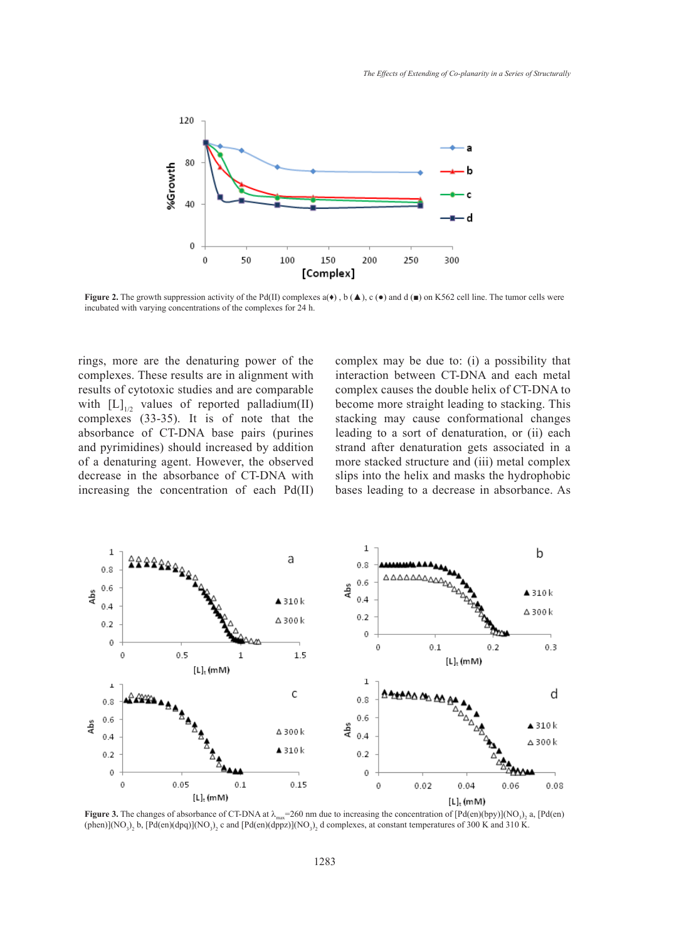

**Figure 2.** The growth suppression activity of the Pd(II) complexes  $a(\bullet)$ ,  $b(\blacktriangle)$ ,  $c(\bullet)$  and  $d(\blacksquare)$  on K562 cell line. The tumor cells were incubated with varying concentrations of the complexes for 24 h.

rings, more are the denaturing power of the complexes. These results are in alignment with results of cytotoxic studies and are comparable with  $[L]_{1/2}$  values of reported palladium(II) complexes (33-35). It is of note that the absorbance of CT-DNA base pairs (purines and pyrimidines) should increased by addition of a denaturing agent. However, the observed decrease in the absorbance of CT-DNA with increasing the concentration of each Pd(II)

complex may be due to: (i) a possibility that interaction between CT-DNA and each metal complex causes the double helix of CT-DNA to become more straight leading to stacking. This stacking may cause conformational changes leading to a sort of denaturation, or (ii) each strand after denaturation gets associated in a more stacked structure and (iii) metal complex slips into the helix and masks the hydrophobic bases leading to a decrease in absorbance. As



**Figure 3.** The changes of absorbance of CT-DNA at  $\lambda_{\text{max}}$  = 260 nm due to increasing the concentration of  $[Pd(en)(by)](NO_3)_2$  a,  $[Pd(en)]$ (phen)](NO<sub>3</sub>)<sub>2</sub> b, [Pd(en)(dpq)](NO<sub>3</sub>)<sub>2</sub> c and [Pd(en)(dppz)](NO<sub>3</sub>)<sub>2</sub> d complexes, at constant temperatures of 300 K and 310 K.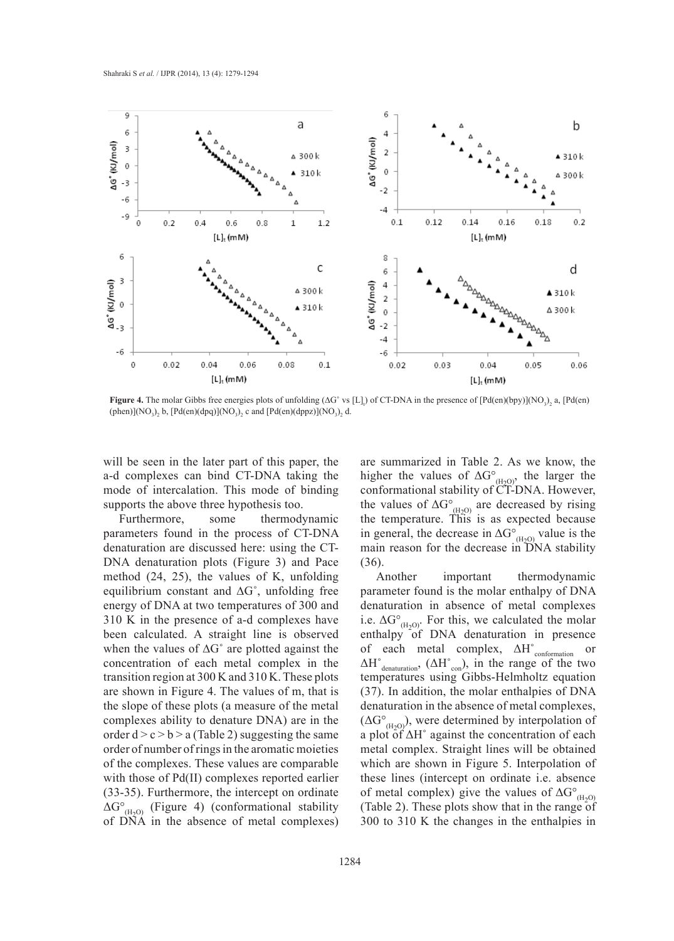

**Figure 4.** The molar Gibbs free energies plots of unfolding  $(\Delta G^{\circ}$  vs [L]<sub>i</sub>) of CT-DNA in the presence of  $[Pd(en)(byy)](NO_3)_2$  a,  $[Pd(en)]$ (phen)](NO<sub>3</sub>)<sub>2</sub> b, [Pd(en)(dpq)](NO<sub>3</sub>)<sub>2</sub> c and [Pd(en)(dppz)](NO<sub>3</sub>)<sub>2</sub> d.

will be seen in the later part of this paper, the a-d complexes can bind CT-DNA taking the mode of intercalation. This mode of binding supports the above three hypothesis too.

Furthermore, some thermodynamic parameters found in the process of CT-DNA denaturation are discussed here: using the CT-DNA denaturation plots (Figure 3) and Pace method (24, 25), the values of K, unfolding equilibrium constant and ∆G˚, unfolding free energy of DNA at two temperatures of 300 and 310 K in the presence of a-d complexes have been calculated. A straight line is observed when the values of ∆G˚ are plotted against the concentration of each metal complex in the transition region at 300 K and 310 K. These plots are shown in Figure 4. The values of m, that is the slope of these plots (a measure of the metal complexes ability to denature DNA) are in the order  $d > c > b > a$  (Table 2) suggesting the same order of number of rings in the aromatic moieties of the complexes. These values are comparable with those of Pd(II) complexes reported earlier (33-35). Furthermore, the intercept on ordinate  $\Delta G^{\circ}_{(H_2O)}$  (Figure 4) (conformational stability of DNA in the absence of metal complexes) are summarized in Table 2. As we know, the higher the values of  $\Delta G^{\circ}_{(H_2O)}$ , the larger the conformational stability of CT-DNA. However, the values of  $\Delta G^{\circ}_{(H2O)}$  are decreased by rising the temperature. This is as expected because in general, the decrease in  $\Delta G^{\circ}_{(H_2O)}$  value is the main reason for the decrease in DNA stability (36).

Another important thermodynamic parameter found is the molar enthalpy of DNA denaturation in absence of metal complexes i.e.  $\Delta G^{\circ}_{(H_2O)}$ . For this, we calculated the molar enthalpy of DNA denaturation in presence of each metal complex, ΔH˚conformation or  $\Delta H^{\circ}_{\text{denaturation}}$ ,  $(\Delta H^{\circ}_{\text{con}})$ , in the range of the two temperatures using Gibbs-Helmholtz equation (37). In addition, the molar enthalpies of DNA denaturation in the absence of metal complexes,  $(\Delta G^{\circ}_{(H_2O)})$ , were determined by interpolation of a plot of  $\Delta H^{\circ}$  against the concentration of each metal complex. Straight lines will be obtained which are shown in Figure 5. Interpolation of these lines (intercept on ordinate i.e. absence of metal complex) give the values of  $\Delta G^{\circ}_{(H_2O)}$ (Table 2). These plots show that in the range of 300 to 310 K the changes in the enthalpies in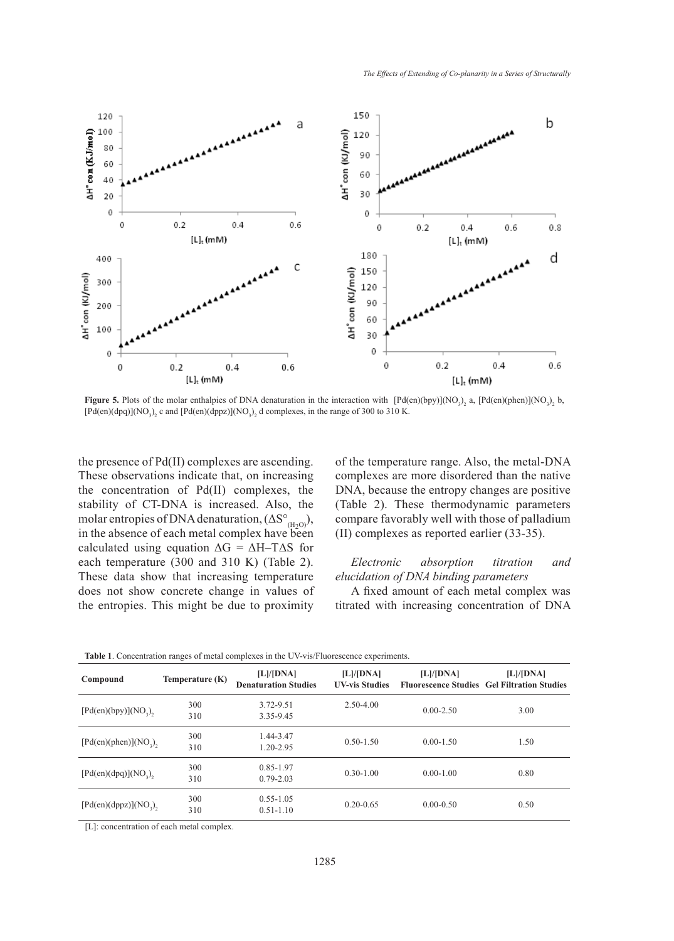

**Figure 5.** Plots of the molar enthalpies of DNA denaturation in the interaction with  $[Pd(en)(bpy)](NO<sub>3</sub>)<sub>2</sub>$ ,  $[Pd(en)(phen)](NO<sub>3</sub>)<sub>2</sub>$  b, [Pd(en)(dpq)](NO<sub>3</sub>)<sub>2</sub> c and [Pd(en)(dppz)](NO<sub>3</sub>)<sub>2</sub> d complexes, in the range of 300 to 310 K.

the presence of Pd(II) complexes are ascending. These observations indicate that, on increasing the concentration of Pd(II) complexes, the stability of CT-DNA is increased. Also, the molar entropies of DNA denaturation,  $(\Delta S^{\circ}_{(H_2O)})$ , in the absence of each metal complex have been calculated using equation  $\Delta G = \Delta H - T \Delta S$  for each temperature (300 and 310 K) (Table 2). These data show that increasing temperature does not show concrete change in values of the entropies. This might be due to proximity of the temperature range. Also, the metal-DNA complexes are more disordered than the native DNA, because the entropy changes are positive (Table 2). These thermodynamic parameters compare favorably well with those of palladium (II) complexes as reported earlier (33-35).

## *Electronic absorption titration and elucidation of DNA binding parameters*

A fixed amount of each metal complex was titrated with increasing concentration of DNA

| Compound                | Temperature (K) | [L]/[DNA]<br><b>Denaturation Studies</b> | [L]/[DNA]<br><b>UV-vis Studies</b> | [L]/[DNA]     | [L]/[DNA]<br><b>Fluorescence Studies Gel Filtration Studies</b> |
|-------------------------|-----------------|------------------------------------------|------------------------------------|---------------|-----------------------------------------------------------------|
| $[Pd(en)(bpy)](NO3)$ ,  | 300<br>310      | 3.72-9.51<br>3.35-9.45                   | $2.50 - 4.00$                      | $0.00 - 2.50$ | 3.00                                                            |
| $[Pd(en)(phen)](NO3)$ , | 300<br>310      | 1.44-3.47<br>1.20-2.95                   | $0.50 - 1.50$                      | $0.00 - 1.50$ | 1.50                                                            |
| $[Pd(en)(dpq)](NO3)$ ,  | 300<br>310      | 0.85-1.97<br>$0.79 - 2.03$               | $0.30 - 1.00$                      | $0.00 - 1.00$ | 0.80                                                            |
| $[Pd(en)(dppz)](NO_3),$ | 300<br>310      | $0.55 - 1.05$<br>$0.51 - 1.10$           | $0.20 - 0.65$                      | $0.00 - 0.50$ | 0.50                                                            |

**Table 1**. Concentration ranges of metal complexes in the UV-vis/Fluorescence experiments.

[L]: concentration of each metal complex.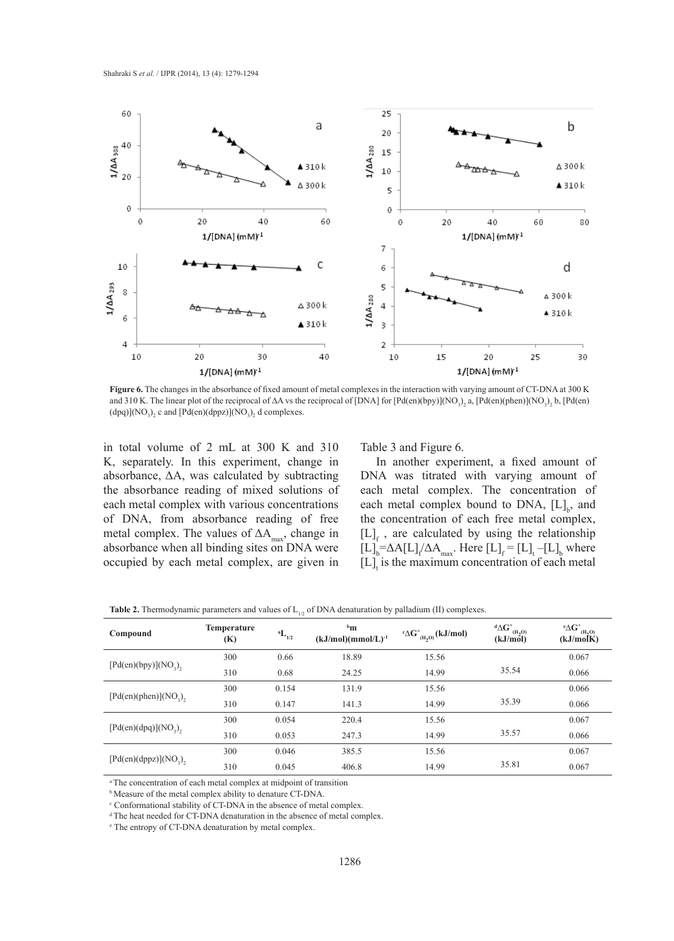

**Figure 6.** The changes in the absorbance of fixed amount of metal complexes in the interaction with varying amount of CT-DNA at 300 K and 310 K. The linear plot of the reciprocal of  $\Delta A$  vs the reciprocal of [DNA] for [Pd(en)(bpy)](NO<sub>3</sub>)<sub>2</sub> a, [Pd(en)(phen)](NO<sub>3</sub>)<sub>2</sub> b, [Pd(en)  $(dpq)$ ](NO<sub>3</sub>)<sub>2</sub> c and [Pd(en)(dppz)](NO<sub>3</sub>)<sub>2</sub> d complexes.

in total volume of 2 mL at 300 K and 310 K, separately. In this experiment, change in absorbance, ΔA, was calculated by subtracting the absorbance reading of mixed solutions of each metal complex with various concentrations of DNA, from absorbance reading of free metal complex. The values of  $\Delta A_{\text{max}}$ , change in absorbance when all binding sites on DNA were occupied by each metal complex, are given in

Table 3 and Figure 6.

In another experiment, a fixed amount of DNA was titrated with varying amount of each metal complex. The concentration of each metal complex bound to DNA,  $[L]_b$ , and the concentration of each free metal complex,  $[L]_f$ , are calculated by using the relationship  $[L]_b = \Delta A[L]_f / \Delta A_{\text{max}}$ . Here  $[L]_f = [L]_t - [L]_b$  where  $[L]_t$  is the maximum concentration of each metal

**Table 2.** Thermodynamic parameters and values of  $L_{1/2}$  of DNA denaturation by palladium (II) complexes.

| Compound                | Temperature<br>(K) | $\phantom{}^{\bf a}{\bf L}_{_{1/2}}$ | $^{\rm b}$ m<br>$(kJ/mol)(mmol/L)^{-1}$ | $\mathbf{C}^{\circ}(\mathbf{H}_{2}\mathbf{O})$ (kJ/mol) | $\mathrm{^d\Delta G^\circ_{\phantom{\circ}(H_2O)}}$<br>(kJ/mol) | $\mathbf{^e\Delta G}^\circ_{\mathbf{(H_{2}O)}}$<br>(kJ/molK) |
|-------------------------|--------------------|--------------------------------------|-----------------------------------------|---------------------------------------------------------|-----------------------------------------------------------------|--------------------------------------------------------------|
|                         | 300                | 0.66                                 | 18.89                                   | 15.56                                                   |                                                                 | 0.067                                                        |
| $[Pd(en)(bpy)](NO3)$ ,  | 310                | 0.68                                 | 24.25                                   | 14.99                                                   | 35.54                                                           | 0.066                                                        |
|                         | 300                | 0.154                                | 131.9                                   | 15.56                                                   |                                                                 | 0.066                                                        |
| $[Pd(en)(phen)](NO3)$ , | 310                | 0.147                                | 141.3                                   | 14.99                                                   | 35.39                                                           | 0.066                                                        |
|                         | 300                | 0.054                                | 220.4                                   | 15.56                                                   |                                                                 | 0.067                                                        |
| $[Pd(en)(dpq)](NO3)$ ,  | 310                | 0.053                                | 247.3                                   | 14.99                                                   | 35.57                                                           | 0.066                                                        |
|                         | 300                | 0.046                                | 385.5                                   | 15.56                                                   |                                                                 | 0.067                                                        |
| $[Pd(en)(dppz)](NO_3),$ | 310                | 0.045                                | 406.8                                   | 14.99                                                   | 35.81                                                           | 0.067                                                        |

a The concentration of each metal complex at midpoint of transition

b Measure of the metal complex ability to denature CT-DNA.

<sup>c</sup> Conformational stability of CT-DNA in the absence of metal complex.

<sup>d</sup> The heat needed for CT-DNA denaturation in the absence of metal complex.

e The entropy of CT-DNA denaturation by metal complex.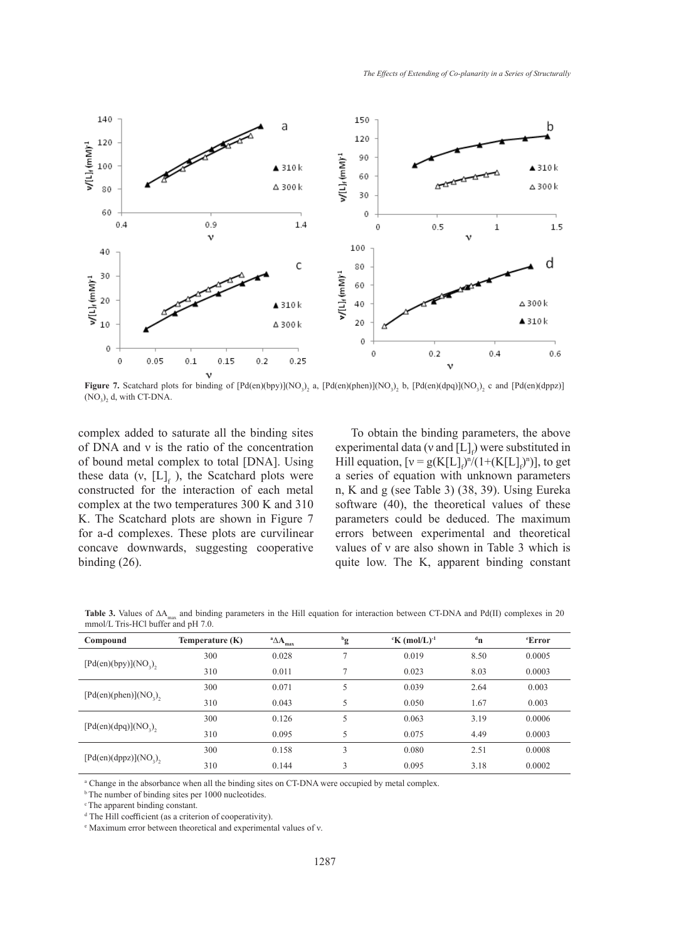

**Figure 7.** Scatchard plots for binding of  $[Pd(en)(by)](NO_3)_2$  a,  $[Pd(en)(phen)](NO_3)_2$  b,  $[Pd(en)(dpq)](NO_3)_2$  c and  $[Pd(en)(dppz)]$  $(NO<sub>3</sub>)<sub>2</sub>$  d, with CT-DNA.

complex added to saturate all the binding sites of DNA and ν is the ratio of the concentration of bound metal complex to total [DNA]. Using these data (v,  $[L]_f$ ), the Scatchard plots were constructed for the interaction of each metal complex at the two temperatures 300 K and 310 K. The Scatchard plots are shown in Figure 7 for a-d complexes. These plots are curvilinear concave downwards, suggesting cooperative binding (26).

To obtain the binding parameters, the above experimental data (v and  $[L]_f$ ) were substituted in Hill equation,  $[v = g(K[L]_f)^n/(1+(K[L]_f)^n)]$ , to get a series of equation with unknown parameters n, K and g (see Table 3) (38, 39). Using Eureka software (40), the theoretical values of these parameters could be deduced. The maximum errors between experimental and theoretical values of ν are also shown in Table 3 which is quite low. The K, apparent binding constant

Table 3. Values of ΔA<sub>max</sub> and binding parameters in the Hill equation for interaction between CT-DNA and Pd(II) complexes in 20 mmol/L Tris-HCl buffer and pH 7.0.

| Compound                 | Temperature (K) | $^a\triangle A$<br>max | $^{\rm b}$ g   | $K \text{ (mol/L)}^{-1}$ | $d_{\mathbf{n}}$ | <i>e</i> Error |
|--------------------------|-----------------|------------------------|----------------|--------------------------|------------------|----------------|
|                          | 300             | 0.028                  | $\overline{ }$ | 0.019                    | 8.50             | 0.0005         |
| $[Pd(en)(bpy)](NO_3)$    | 310             | 0.011                  | $\mathcal{L}$  | 0.023                    | 8.03             | 0.0003         |
|                          | 300             | 0.071                  | 5              | 0.039                    | 2.64             | 0.003          |
| $[Pd(en)(phen)](NO3)$ ,  | 310             | 0.043                  | 5              | 0.050                    | 1.67             | 0.003          |
|                          | 300             | 0.126                  | 5              | 0.063                    | 3.19             | 0.0006         |
| $[Pd(en)(dpq)](NO3)$ ,   | 310             | 0.095                  | 5              | 0.075                    | 4.49             | 0.0003         |
|                          | 300             | 0.158                  | 3              | 0.080                    | 2.51             | 0.0008         |
| $[Pd(en)(dppz)](NO_3)$ , | 310             | 0.144                  | 3              | 0.095                    | 3.18             | 0.0002         |

a Change in the absorbance when all the binding sites on CT-DNA were occupied by metal complex.

<sup>b</sup> The number of binding sites per 1000 nucleotides.

c The apparent binding constant.

d The Hill coefficient (as a criterion of cooperativity).

e Maximum error between theoretical and experimental values of ν.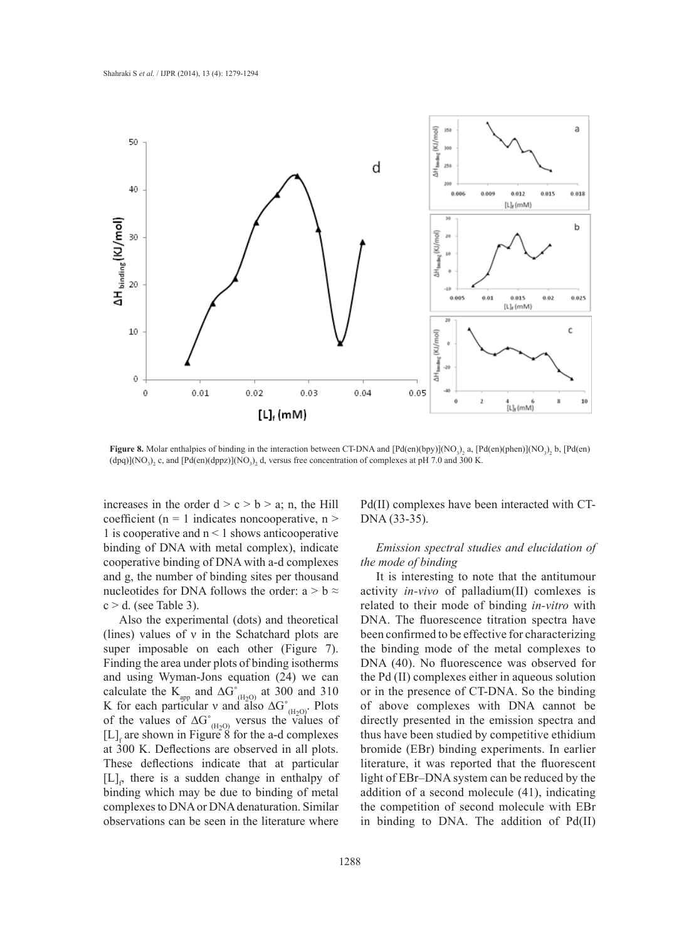

**Figure 8.** Molar enthalpies of binding in the interaction between CT-DNA and  $[Pd(en)(bpy)](NO<sub>3</sub>)<sub>2</sub> a$ ,  $[Pd(en)(phen)](NO<sub>3</sub>)<sub>2</sub> b$ ,  $[Pd(en)]$  $(dpq)$ ](NO<sub>3</sub>)<sub>2</sub> c, and [Pd(en)(dppz)](NO<sub>3</sub>)<sub>2</sub> d, versus free concentration of complexes at pH 7.0 and 300 K.

increases in the order  $d > c > b > a$ ; n, the Hill coefficient ( $n = 1$  indicates noncooperative,  $n >$ 1 is cooperative and  $n < 1$  shows anticooperative binding of DNA with metal complex), indicate cooperative binding of DNA with a-d complexes and g, the number of binding sites per thousand nucleotides for DNA follows the order:  $a > b \approx$  $c > d$ . (see Table 3).

Also the experimental (dots) and theoretical (lines) values of  $\nu$  in the Schatchard plots are super imposable on each other (Figure 7). Finding the area under plots of binding isotherms and using Wyman-Jons equation (24) we can calculate the  $K_{app}$  and  $\Delta G^{\circ}_{(H_2O)}$  at 300 and 310 K for each particular v and also  $\Delta G^{\circ}_{(H_2O)}$ . Plots of the values of  $\Delta G^{\circ}_{(H_2O)}$  versus the values of  $[L]$ <sub>f</sub> are shown in Figure 8 for the a-d complexes at 300 K. Deflections are observed in all plots. These deflections indicate that at particular  $[L]_p$  there is a sudden change in enthalpy of binding which may be due to binding of metal complexes to DNA or DNA denaturation. Similar observations can be seen in the literature where

Pd(II) complexes have been interacted with CT-DNA (33-35).

# *Emission spectral studies and elucidation of the mode of binding*

It is interesting to note that the antitumour activity *in-vivo* of palladium(II) comlexes is related to their mode of binding *in-vitro* with DNA. The fluorescence titration spectra have been confirmed to be effective for characterizing the binding mode of the metal complexes to DNA (40). No fluorescence was observed for the Pd (II) complexes either in aqueous solution or in the presence of CT-DNA. So the binding of above complexes with DNA cannot be directly presented in the emission spectra and thus have been studied by competitive ethidium bromide (EBr) binding experiments. In earlier literature, it was reported that the fluorescent light of EBr–DNA system can be reduced by the addition of a second molecule (41), indicating the competition of second molecule with EBr in binding to DNA. The addition of Pd(II)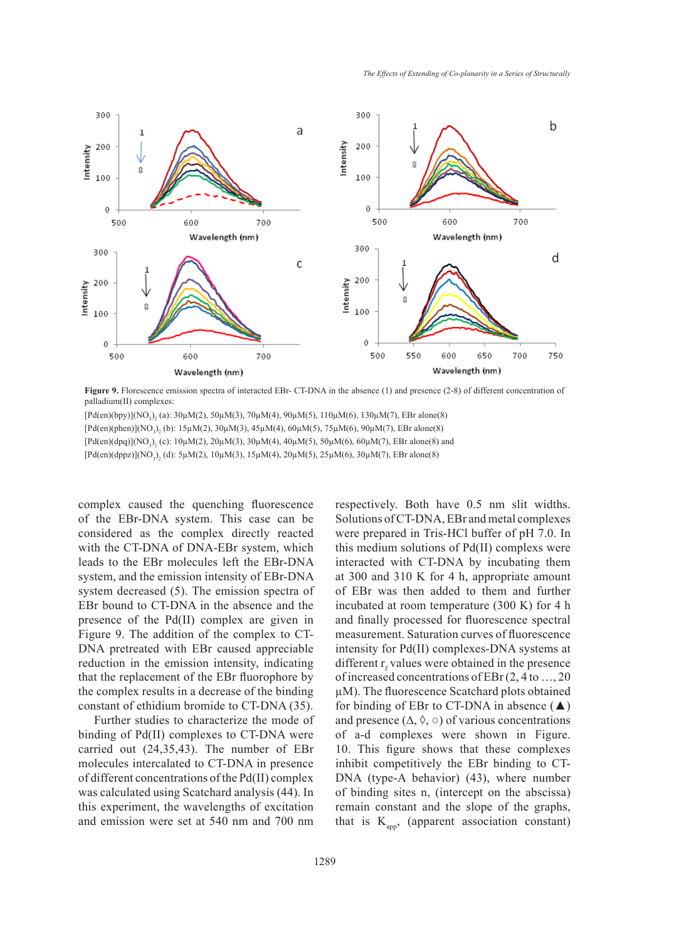

Figure 9. Florescence emission spectra of interacted EBr- CT-DNA in the absence (1) and presence (2-8) of different concentration of palladium(II) complexes:

 $[Pd(en)(bpy)](NO<sub>3</sub>)<sub>2</sub> (a): 30µM(2), 50µM(3), 70µM(4), 90µM(5), 110µM(6), 130µM(7), EBr alone(8)$  $[Pd(en)(phen)](NO<sub>3</sub>)<sub>2</sub> (b): 15 \mu M(2), 30 \mu M(3), 45 \mu M(4), 60 \mu M(5), 75 \mu M(6), 90 \mu M(7), EBr alone(8)$ [Pd(en)(dpq)](NO<sub>3</sub>)<sub>2</sub> (c): 10µM(2), 20µM(3), 30µM(4), 40µM(5), 50µM(6), 60µM(7), EBr alone(8) and  $[Pd(en)(dppz)](NO<sub>3</sub>)<sub>2</sub> (d): 5 \mu M(2), 10 \mu M(3), 15 \mu M(4), 20 \mu M(5), 25 \mu M(6), 30 \mu M(7), EBr alone(8)$ 

complex caused the quenching fluorescence of the EBr-DNA system. This case can be considered as the complex directly reacted with the CT-DNA of DNA-EBr system, which leads to the EBr molecules left the EBr-DNA system, and the emission intensity of EBr-DNA system decreased (5). The emission spectra of EBr bound to CT-DNA in the absence and the presence of the Pd(II) complex are given in Figure 9. The addition of the complex to CT-DNA pretreated with EBr caused appreciable reduction in the emission intensity, indicating that the replacement of the EBr fluorophore by the complex results in a decrease of the binding constant of ethidium bromide to CT-DNA (35).

Further studies to characterize the mode of binding of Pd(II) complexes to CT-DNA were carried out (24,35,43). The number of EBr molecules intercalated to CT-DNA in presence of different concentrations of the Pd(II) complex was calculated using Scatchard analysis (44). In this experiment, the wavelengths of excitation and emission were set at 540 nm and 700 nm respectively. Both have 0.5 nm slit widths. Solutions of CT-DNA, EBr and metal complexes were prepared in Tris-HCl buffer of pH 7.0. In this medium solutions of Pd(II) complexs were interacted with CT-DNA by incubating them at 300 and 310 K for 4 h, appropriate amount of EBr was then added to them and further incubated at room temperature (300 K) for 4 h and finally processed for fluorescence spectral measurement. Saturation curves of fluorescence intensity for Pd(II) complexes-DNA systems at different  $r_f$  values were obtained in the presence of increased concentrations of EBr (2, 4 to …, 20 µM). The fluorescence Scatchard plots obtained for binding of EBr to CT-DNA in absence  $(\triangle)$ and presence  $(\Delta, \Diamond, \circ)$  of various concentrations of a-d complexes were shown in Figure. 10. This figure shows that these complexes inhibit competitively the EBr binding to CT-DNA (type-A behavior) (43), where number of binding sites n, (intercept on the abscissa) remain constant and the slope of the graphs, that is  $K_{\text{amp}}$ , (apparent association constant)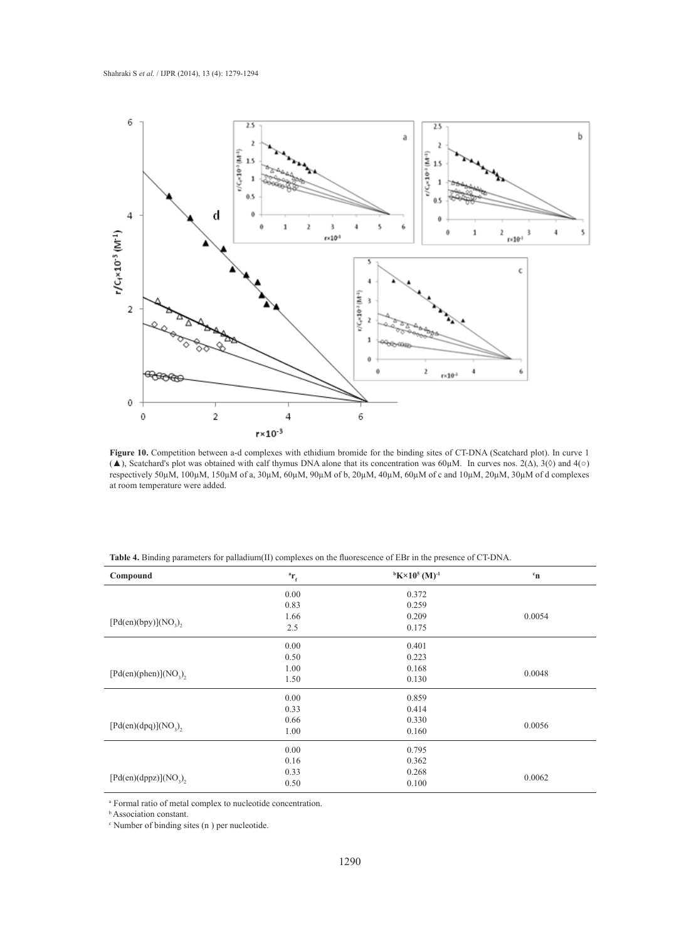

Figure 10. Competition between a-d complexes with ethidium bromide for the binding sites of CT-DNA (Scatchard plot). In curve 1 ( $\blacktriangle$ ), Scatchard's plot was obtained with calf thymus DNA alone that its concentration was 60μM. In curves nos. 2( $\triangle$ ), 3( $\lozenge$ ) and 4( $\circ$ ) respectively 50µM, 100µM, 150µM of a, 30µM, 60µM, 90µM of b, 20µM, 40µM, 60µM of c and 10µM, 20µM, 30µM of d complexes at room temperature were added.

| <b>Table 4.</b> Binding parameters for palladium(II) complexes on the fluorescence of EBr in the presence of CT-DNA. |  |  |  |
|----------------------------------------------------------------------------------------------------------------------|--|--|--|
|----------------------------------------------------------------------------------------------------------------------|--|--|--|

| Compound                 | $\mathbf{r}_{\rm f}$ | $bK \times 10^5 (M)^{-1}$ | $\mathbf{c}_{\mathbf{n}}$ |
|--------------------------|----------------------|---------------------------|---------------------------|
|                          | 0.00                 | 0.372                     |                           |
|                          | 0.83                 | 0.259                     |                           |
|                          | 1.66                 | 0.209                     | 0.0054                    |
| $[Pd(en)(bpy)](NO_2),$   | 2.5                  | 0.175                     |                           |
|                          | 0.00                 | 0.401                     |                           |
|                          | 0.50                 | 0.223                     |                           |
|                          | 1.00                 | 0.168                     | 0.0048                    |
| $[Pd(en)(phen)](NO_3),$  | 1.50                 | 0.130                     |                           |
|                          | 0.00                 | 0.859                     |                           |
|                          | 0.33                 | 0.414                     |                           |
|                          | 0.66                 | 0.330                     | 0.0056                    |
| $[Pd(en)(dpq)](NO_3)$ ,  | 1.00                 | 0.160                     |                           |
|                          | 0.00                 | 0.795                     |                           |
|                          | 0.16                 | 0.362                     |                           |
|                          | 0.268<br>0.33        |                           | 0.0062                    |
| $[Pd(en)(dppz)](NO_2)$ , | 0.50                 | 0.100                     |                           |

a Formal ratio of metal complex to nucleotide concentration.

**b** Association constant.

c Number of binding sites (n ) per nucleotide.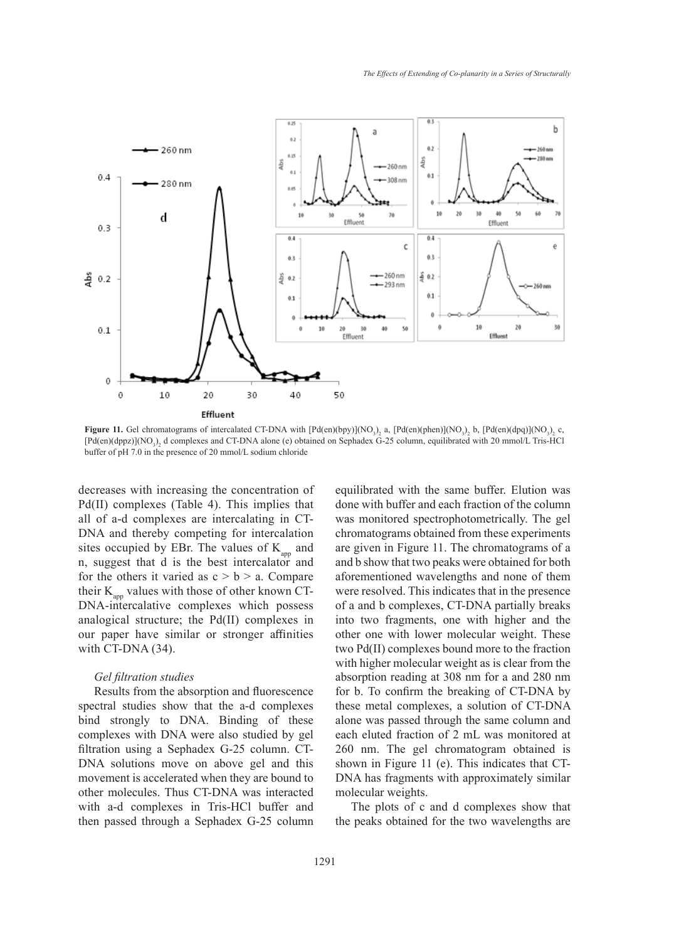

**Figure 11.** Gel chromatograms of intercalated CT-DNA with  $[Pd(en)(bpy)](NO<sub>3</sub>)<sub>2</sub>$  a,  $[Pd(en)(phen)](NO<sub>3</sub>)<sub>2</sub>$  b,  $[Pd(en)(dp)](NO<sub>3</sub>)<sub>2</sub>$  c,  $[Pd(en)(dppz)](NO<sub>3</sub>)<sub>2</sub>$  d complexes and CT-DNA alone (e) obtained on Sephadex G-25 column, equilibrated with 20 mmol/L Tris-HCl buffer of pH 7.0 in the presence of 20 mmol/L sodium chloride

decreases with increasing the concentration of Pd(II) complexes (Table 4). This implies that all of a-d complexes are intercalating in CT-DNA and thereby competing for intercalation sites occupied by EBr. The values of  $K_{\text{app}}$  and n, suggest that d is the best intercalator and for the others it varied as  $c > b > a$ . Compare their  $K_{\text{app}}$  values with those of other known CT-DNA-intercalative complexes which possess analogical structure; the Pd(II) complexes in our paper have similar or stronger affinities with CT-DNA (34).

## *Gel filtration studies*

Results from the absorption and fluorescence spectral studies show that the a-d complexes bind strongly to DNA. Binding of these complexes with DNA were also studied by gel filtration using a Sephadex G-25 column. CT-DNA solutions move on above gel and this movement is accelerated when they are bound to other molecules. Thus CT-DNA was interacted with a-d complexes in Tris-HCl buffer and then passed through a Sephadex G-25 column equilibrated with the same buffer. Elution was done with buffer and each fraction of the column was monitored spectrophotometrically. The gel chromatograms obtained from these experiments are given in Figure 11. The chromatograms of a and b show that two peaks were obtained for both aforementioned wavelengths and none of them were resolved. This indicates that in the presence of a and b complexes, CT-DNA partially breaks into two fragments, one with higher and the other one with lower molecular weight. These two Pd(II) complexes bound more to the fraction with higher molecular weight as is clear from the absorption reading at 308 nm for a and 280 nm for b. To confirm the breaking of CT-DNA by these metal complexes, a solution of CT-DNA alone was passed through the same column and each eluted fraction of 2 mL was monitored at 260 nm. The gel chromatogram obtained is shown in Figure 11 (e). This indicates that CT-DNA has fragments with approximately similar molecular weights.

The plots of c and d complexes show that the peaks obtained for the two wavelengths are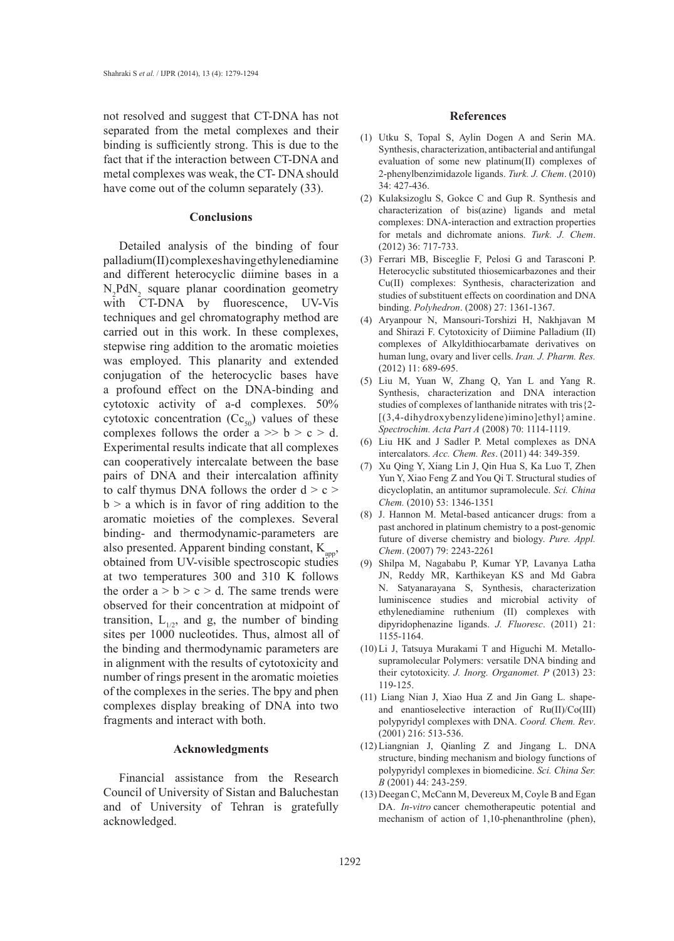not resolved and suggest that CT-DNA has not separated from the metal complexes and their binding is sufficiently strong. This is due to the fact that if the interaction between CT-DNA and metal complexes was weak, the CT- DNA should have come out of the column separately  $(33)$ .

#### **Conclusions**

Detailed analysis of the binding of four palladium(II) complexes having ethylenediamine and different heterocyclic diimine bases in a  $N_2$ Pd $N_2$  square planar coordination geometry with CT-DNA by fluorescence, UV-Vis techniques and gel chromatography method are carried out in this work. In these complexes, stepwise ring addition to the aromatic moieties was employed. This planarity and extended conjugation of the heterocyclic bases have a profound effect on the DNA-binding and cytotoxic activity of a-d complexes. 50% cytotoxic concentration  $(Cc_{50})$  values of these complexes follows the order  $a \gg b > c > d$ . Experimental results indicate that all complexes can cooperatively intercalate between the base pairs of DNA and their intercalation affinity to calf thymus DNA follows the order  $d > c$  $b > a$  which is in favor of ring addition to the aromatic moieties of the complexes. Several binding- and thermodynamic-parameters are also presented. Apparent binding constant,  $K_{\text{app}}$ , obtained from UV-visible spectroscopic studies at two temperatures 300 and 310 K follows the order  $a > b > c > d$ . The same trends were observed for their concentration at midpoint of transition,  $L_{1/2}$ , and g, the number of binding sites per 1000 nucleotides. Thus, almost all of the binding and thermodynamic parameters are in alignment with the results of cytotoxicity and number of rings present in the aromatic moieties of the complexes in the series. The bpy and phen complexes display breaking of DNA into two fragments and interact with both.

### **Acknowledgments**

Financial assistance from the Research Council of University of Sistan and Baluchestan and of University of Tehran is gratefully acknowledged.

#### **References**

- Utku S, Topal S, Aylin Dogen A and Serin MA. (1) Synthesis, characterization, antibacterial and antifungal evaluation of some new platinum(II) complexes of 2-phenylbenzimidazole ligands. *Turk. J. Chem*. (2010) 34: 427-436.
- $(2)$  Kulaksizoglu S, Gokce C and Gup R. Synthesis and characterization of bis(azine) ligands and metal complexes: DNA-interaction and extraction properties for metals and dichromate anions. *Turk. J. Chem*. (2012) 36: 717-733.
- Ferrari MB, Bisceglie F, Pelosi G and Tarasconi P. (3) Heterocyclic substituted thiosemicarbazones and their Cu(II) complexes: Synthesis, characterization and studies of substituent effects on coordination and DNA binding. *Polyhedron*. (2008) 27: 1361-1367.
- Aryanpour N, Mansouri-Torshizi H, Nakhjavan M (4) and Shirazi F. Cytotoxicity of Diimine Palladium (II) complexes of Alkyldithiocarbamate derivatives on human lung, ovary and liver cells. *Iran. J. Pharm. Res.*  (2012) 11: 689-695.
- Liu M, Yuan W, Zhang Q, Yan L and Yang R. (5) Synthesis, characterization and DNA interaction studies of complexes of lanthanide nitrates with tris{2- [(3,4-dihydroxybenzylidene)imino]ethyl}amine. *Spectrochim. Acta Part A* (2008) 70: 1114-1119.
- (6) Liu HK and J Sadler P. Metal complexes as DNA intercalators. *Acc. Chem. Res*. (2011) 44: 349-359.
- (7) Xu Qing Y, Xiang Lin J, Qin Hua S, Ka Luo T, Zhen Yun Y, Xiao Feng Z and You Qi T. Structural studies of dicycloplatin, an antitumor supramolecule. *Sci. China Chem.* (2010) 53: 1346-1351
- J. Hannon M. Metal-based anticancer drugs: from a (8) past anchored in platinum chemistry to a post-genomic future of diverse chemistry and biology. *Pure. Appl. Chem*. (2007) 79: 2243-2261
- (9) Shilpa M, Nagababu P, Kumar YP, Lavanya Latha JN, Reddy MR, Karthikeyan KS and Md Gabra N. Satyanarayana S, Synthesis, characterization luminiscence studies and microbial activity of ethylenediamine ruthenium (II) complexes with dipyridophenazine ligands. *J. Fluoresc*. (2011) 21: 1155-1164.
- (10) Li J, Tatsuya Murakami T and Higuchi M. Metallosupramolecular Polymers: versatile DNA binding and their cytotoxicity. *J. Inorg. Organomet. P* (2013) 23: 119-125.
- Liang Nian J, Xiao Hua Z and Jin Gang L. shape-(11) and enantioselective interaction of Ru(II)/Co(III) polypyridyl complexes with DNA. *Coord. Chem. Rev*. (2001) 216: 513-536.
- Liangnian J, Qianling Z and Jingang L. DNA (12) structure, binding mechanism and biology functions of polypyridyl complexes in biomedicine. *Sci. China Ser. B* (2001) 44: 243-259.
- (13) Deegan C, McCann M, Devereux M, Coyle B and Egan DA. *In-vitro* cancer chemotherapeutic potential and mechanism of action of 1,10-phenanthroline (phen),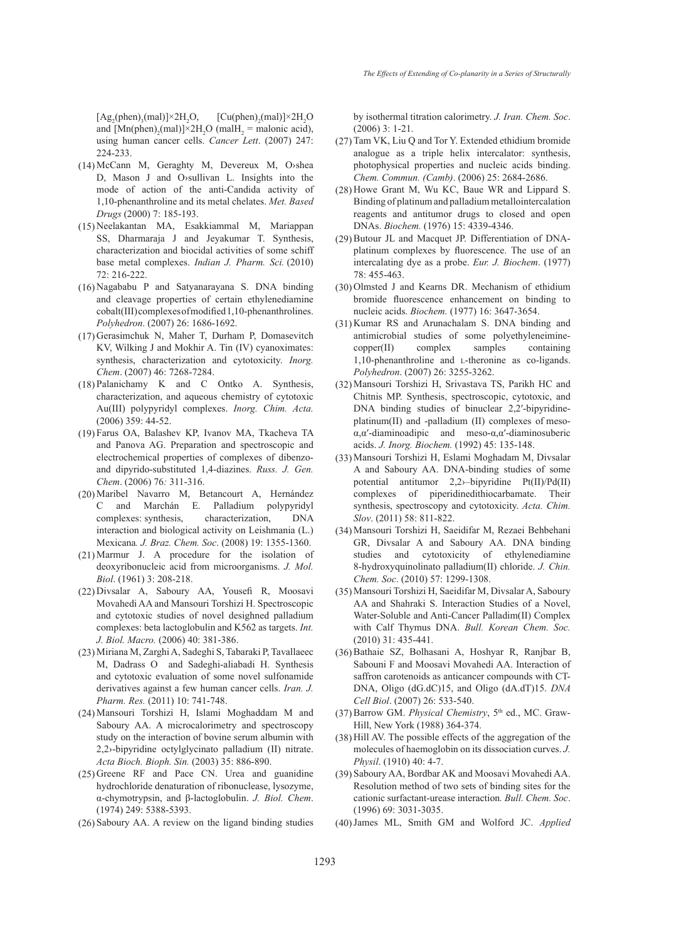$[Ag_2(phen)_3(mal)] \times 2H_2$ O,  $[\text{Cu(phen)}_2(\text{mal})] \times 2H_2O$ and  $[Mn(phen)<sub>2</sub>(mal)] \times 2H<sub>2</sub>O (mall<sub>2</sub>] = malonic acid),$ using human cancer cells. *Cancer Lett*. (2007) 247: 224-233.

- McCann M, Geraghty M, Devereux M, O›shea (14) D, Mason J and O›sullivan L. Insights into the mode of action of the anti-Candida activity of 1,10-phenanthroline and its metal chelates. *Met. Based Drugs* (2000) 7: 185-193.
- Neelakantan MA, Esakkiammal M, Mariappan (15) SS, Dharmaraja J and Jeyakumar T. Synthesis, characterization and biocidal activities of some schiff base metal complexes. *Indian J. Pharm. Sci.* (2010) 72: 216-222.
- Nagababu P and Satyanarayana S. DNA binding (16) and cleavage properties of certain ethylenediamine cobalt(III) complexes of modified 1,10-phenanthrolines. *Polyhedron*. (2007) 26: 1686-1692.
- (17) Gerasimchuk N, Maher T, Durham P, Domasevitch KV, Wilking J and Mokhir A. Tin (IV) cyanoximates: synthesis, characterization and cytotoxicity. *Inorg. Chem*. (2007) 46: 7268-7284.
- Palanichamy K and C Ontko A. Synthesis, (18) characterization, and aqueous chemistry of cytotoxic Au(III) polypyridyl complexes. *Inorg. Chim. Acta.*  (2006) 359: 44-52.
- Farus OA, Balashev KP, Ivanov MA, Tkacheva TA (19) and Panova AG. Preparation and spectroscopic and electrochemical properties of complexes of dibenzoand dipyrido-substituted 1,4-diazines. *Russ. J. Gen. Chem*. (2006) 76*:* 311-316.
- (20) Maribel Navarro M, Betancourt A, Hernández C and Marchán E. Palladium polypyridyl complexes: synthesis, characterization, DNA interaction and biological activity on Leishmania (L.) Mexicana*. J. Braz. Chem. Soc*. (2008) 19: 1355-1360.
- $(21)$  Marmur J. A procedure for the isolation of deoxyribonucleic acid from microorganisms. *J. Mol. Biol*. (1961) 3: 208-218.
- (22) Divsalar A, Saboury AA, Yousefi R, Moosavi Movahedi AA and Mansouri Torshizi H. Spectroscopic and cytotoxic studies of novel desighned palladium complexes: beta lactoglobulin and K562 as targets. *Int. J. Biol. Macro.* (2006) 40: 381-386.
- Miriana M, Zarghi A, Sadeghi S, Tabaraki P, Tavallaeec (23) M, Dadrass O and Sadeghi-aliabadi H. Synthesis and cytotoxic evaluation of some novel sulfonamide derivatives against a few human cancer cells. *Iran. J. Pharm. Res.* (2011) 10: 741-748.
- Mansouri Torshizi H, Islami Moghaddam M and (24) Saboury AA. A microcalorimetry and spectroscopy study on the interaction of bovine serum albumin with 2,2›-bipyridine octylglycinato palladium (II) nitrate. *Acta Bioch. Bioph. Sin.* (2003) 35: 886-890.
- $(25)$  Greene RF and Pace CN. Urea and guanidine hydrochloride denaturation of ribonuclease, lysozyme, α-chymotrypsin, and β-lactoglobulin. *J. Biol. Chem*. (1974) 249: 5388-5393.
- $(26)$  Saboury AA. A review on the ligand binding studies

by isothermal titration calorimetry. *J. Iran. Chem. Soc*. (2006) 3: 1-21.

- $(27)$  Tam VK, Liu Q and Tor Y. Extended ethidium bromide analogue as a triple helix intercalator: synthesis, photophysical properties and nucleic acids binding. *Chem. Commun. (Camb)*. (2006) 25: 2684-2686.
- $(28)$  Howe Grant M, Wu KC, Baue WR and Lippard S. Binding of platinum and palladium metallointercalation reagents and antitumor drugs to closed and open DNAs. *Biochem.* (1976) 15: 4339-4346.
- $(29)$  Butour JL and Macquet JP. Differentiation of DNAplatinum complexes by fluorescence. The use of an intercalating dye as a probe. *Eur. J. Biochem*. (1977) 78: 455-463.
- (30) Olmsted J and Kearns DR. Mechanism of ethidium bromide fluorescence enhancement on binding to nucleic acids. *Biochem.* (1977) 16: 3647-3654.
- $(31)$  Kumar RS and Arunachalam S. DNA binding and antimicrobial studies of some polyethyleneiminecopper(II) complex samples containing 1,10-phenanthroline and *L*-theronine as co-ligands. *Polyhedron*. (2007) 26: 3255-3262.
- Mansouri Torshizi H, Srivastava TS, Parikh HC and (32) Chitnis MP. Synthesis, spectroscopic, cytotoxic, and DNA binding studies of binuclear 2,2′-bipyridineplatinum(II) and -palladium (II) complexes of mesoα,α′-diaminoadipic and meso-α,α′-diaminosuberic acids. *J. Inorg. Biochem.* (1992) 45: 135-148.
- Mansouri Torshizi H, Eslami Moghadam M, Divsalar (33) A and Saboury AA. DNA-binding studies of some potential antitumor 2,2›–bipyridine Pt(II)/Pd(II) complexes of piperidinedithiocarbamate. Their synthesis, spectroscopy and cytotoxicity. *Acta. Chim. Slov*. (2011) 58: 811-822.
- Mansouri Torshizi H, Saeidifar M, Rezaei Behbehani (34) GR, Divsalar A and Saboury AA. DNA binding studies and cytotoxicity of ethylenediamine 8-hydroxyquinolinato palladium(II) chloride. *J. Chin. Chem. Soc*. (2010) 57: 1299-1308.
- Mansouri Torshizi H, Saeidifar M, Divsalar A, Saboury (35) AA and Shahraki S. Interaction Studies of a Novel, Water-Soluble and Anti-Cancer Palladim(II) Complex with Calf Thymus DNA. *Bull. Korean Chem. Soc.* (2010) 31: 435-441.
- (36) Bathaie SZ, Bolhasani A, Hoshyar R, Ranjbar B, Sabouni F and Moosavi Movahedi AA. Interaction of saffron carotenoids as anticancer compounds with CT-DNA, Oligo (dG.dC)15, and Oligo (dA.dT)15. *DNA Cell Biol*. (2007) 26: 533-540.
- (37) Barrow GM. *Physical Chemistry*, 5<sup>th</sup> ed., MC. Graw-Hill, New York (1988) 364-374.
- (38) Hill AV. The possible effects of the aggregation of the molecules of haemoglobin on its dissociation curves. *J. Physil*. (1910) 40: 4-7.
- (39) Saboury AA, Bordbar AK and Moosavi Movahedi AA. Resolution method of two sets of binding sites for the cationic surfactant-urease interaction*. Bull. Chem. Soc*. (1996) 69: 3031-3035.
- James ML, Smith GM and Wolford JC. *Applied*  (40)